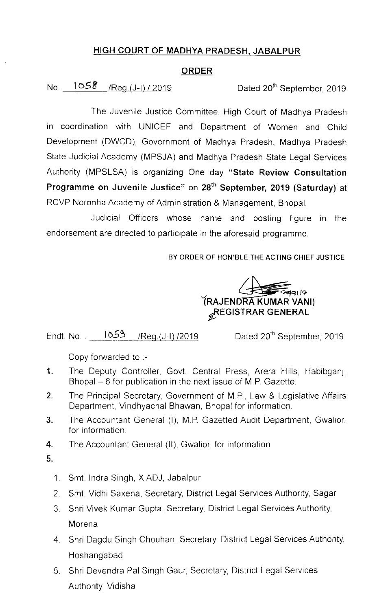## HIGH COURT OF MADHYA PRADESH, JABALPUR

### ORDER

# No.  $1058$  /Reg.(J-I) / 2019 Dated 20<sup>th</sup> September, 2019

The Juvenile Justice Committee, High Court of Madhya Pradesh in coordination with UNICEF and Department of Women and Child Development (DWCD), Government of Madhya Pradesh, Madhya Pradesh State Judicial Academy (MPSJA) and Madhya Pradesh State Legal Services Authority (MPSLSA) is organizing One day "State Review Consultation Programme on Juvenile Justice" on 28<sup>th</sup> September, 2019 (Saturday) at RCVP Noronha Academy of Administration & Management, Bhopal

Judicial Officers whose name and posting figure in the endorsement are directed to participate in the aforesaid programme.

BY ORDER OF HON'BLE THE ACTING CHIEF JUSTICE

—<br>শ্বিন। তি (RAJENDRA KUMAR VANI) **REGISTRAR GENERAL** 

Endt. No.  $1059$  /Reg. (J-I) /2019

Dated 20<sup>th</sup> September, 2019

Copy forwarded to  $-$ 

- 1. The Deputy Controller, Govt. Central Press, Arera Hills, Habibganj, Bhopal  $-6$  for publication in the next issue of M.P. Gazette.
- 2. The Principal Secretary, Government of M.P., Law & Legislative Affairs Department, Vindhyachal Bhawan, Bhopal for information.
- 3. The Accountant General (I), M.P. Gazetted Audit Department, Gwalior, for information
- 4. The Accountant General (II), Gwalior, for information

5.

- 1. Smt. Indra Singh, XADJ, Jabalpur
- 2. Smt. Vidhi Saxena, Secretary, District Legal Services Authority, Sagar
- 3. Shri Vivek Kumar Gupta, Secretary, District Legal Services Authority, Morena
- 4. Shri Dagdu Singh Chouhan, Secretary, District Legal Services Authority, Hoshangabad
- 5. Shri Devendra Pal Singh Gaur, Secretary, District Legal Services Authority, Vidisha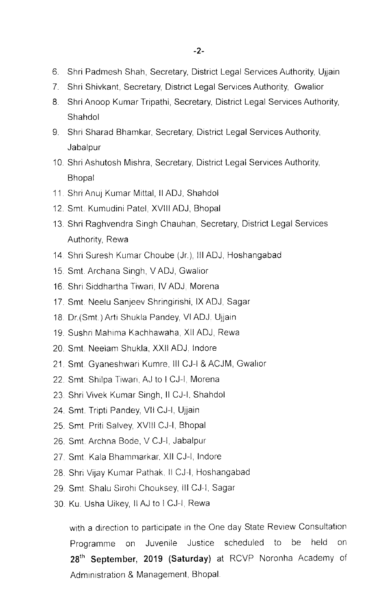- 6. Shri Padmesh Shah, Secretary, District Legal Services Authority, Ujjain
- 7. Shri Shivkant, Secretary, District Legal Services Authority, Gwalior
- 8. Shri Anoop Kumar Tripathi, Secretary, District Legal Services Authority, Shahdol
- 9. Shri Sharad Bhamkar, Secretary, District Legal Services Authority, Jabalpur
- 10. Shri Ashutosh Mishra, Secretary, District Legal Services Authority, Bhopal
- 11. Shri Anuj Kumar Mittal, II ADJ, Shahdol
- 12. Smt. Kumudini Patel, XVIII ADJ, Bhopal
- 13 Shri Raghvendra Singh Chauhan, Secretary, District Legal Services Authority, Rewa
- 14. Shri Suresh Kumar Choube (Jr.), III ADJ, Hoshangabad
- 15 Smt Archana Singh, VADJ, Gwalior
- 16 Shrl Slddhartha Tiwari, IVADJ, Morena
- 17. Smt. Neelu Sanjeev Shringirishi, IX ADJ, Sagar
- 18. Dr.(Smt.) Arti Shukla Pandey, VI ADJ. Ujjain
- 19. Sushri Mahlma Kachhawaha, Xll ADJ, Rewa
- 20. Smt. Neelam Shukla, XXII ADJ. Indore
- 21. Smt. Gyaneshwari Kumre, III CJ-I & ACJM, Gwallor
- 22. Smt. Shilpa Tiwari, AJ to I CJ-I, Morena
- 23. Shri Vivek Kumar Singh, II CJ-I, Shahdol
- 24. Smt. Tripti Pandey, VII CJ-I, Ujjain
- 25 Smt Priti Salvey, Xvlll CJ-I, Bhopal
- 26. Smt Archna Bode, V CJ-I, Jabalpur
- 27 Smt Kala Bhammarkar XII CJ-I, lndore
- 28. Shri Vijay Kumar Pathak, II CJ-I, Hoshangabad
- 29. Smt. Shalu Sirohi Chouksey, III CJ-I, Sagar
- 30. Ku. Usha Uikey, II AJ to I CJ-I, Rewa

with a direction to participate in the One day State Review Consultation Programme on Juvenile Justice scheduled to be held on 28<sup>th</sup> September, 2019 (Saturday) at RCVP Noronha Academy of Administration & Management, Bhopal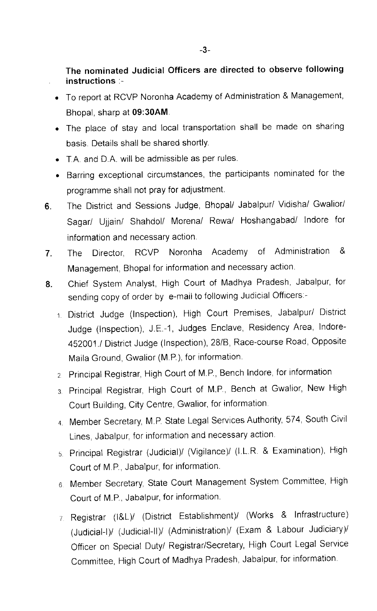# The nominated Judicial Officers are directed to observe following instructions :-

- To report at RCVP Noronha Academy of Administration & Management, Bhopal, sharp at 09:30AM
- The place of stay and local transportation shall be made on sharing basis. Details shall be shared shortly.
- T.A. and D.A. will be admissible as per rules.
- Barring exceptional circumstances, the participants nominated for the programme shall not pray for adjustment.
- 6. The District and Sessions Judge, Bhopal/ Jabalpur/ Vidisha/ Gwalior/ Sagar/ Ujjain/ Shahdol/ Morena/ Rewa/ Hoshangabad/ lndore for information and necessary action
- 7, The Director, RCVP Noronha Academy of Adminlstratlon & Management, Bhopal for information and necessary action.
- 8. Chief System Analyst, High Court of Madhya Pradesh, Jabalpur, for sending copy of order by e-mail to following Judicial Officers:-
	- 1 District Judge (Inspection), High Court Premises, Jabalpur/ Distrlct Judge (Inspection), J.E.-1, Judges Enclave, Residency Area, lndore-452001./ District Judge (Inspection), 28/B, Race-course Road, Opposite Maila Ground, Gwalior (M.P.), for information.
	- 2. Principal Registrar, High Court of M.P., Bench Indore, for information
	- 3. Principal Registrar, High Court of M.P., Bench at Gwalior, New High Court Building, City Centre, Gwalior, for information.
	- 4 Member Secretary, M.P. State Legal Services Authority, 574, South Civil Lines, Jabalpur, for information and necessary action.
	- 5. Principal Registrar (Judicial)/ (Vigilance)/ (I.L.R. & Examination), High Court of M.P., Jabalpur, for information.
	- 6. Member Secretary, State Court Management System Committee, High Court of M.P., Jabalpur, for information.
	- 7. Registrar (I&L)/ (District Establishment)/ (Works & Infrastructure) (Judicial-I)/ (Judicial-II)/ (Administration)/ (Exam & Labour Judiciary)/ Officer on Special Duty/ Registrar/Secretary, High Court Legal Service Committee, High Court of Madhya Pradesh, Jabalpur, for information.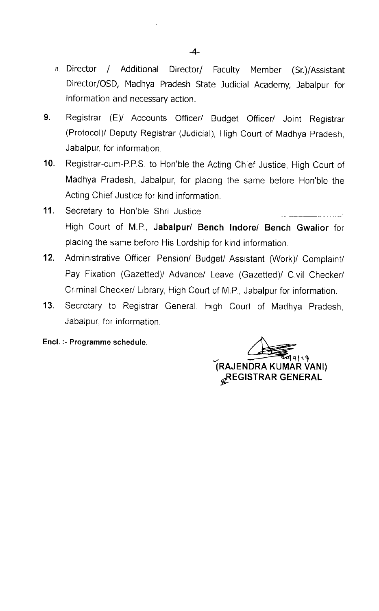- 8 Director / Additional Director/ Faculty Member (Sr.)/Assistant Director/OSD, Madhya Pradesh State Judicial Academy, Jabalpur for information and necessary action.
- 9. Registrar (E)/ Accounts Officer/ Budget Officer/ Joint Registrar (Protocol)/ Deputy Registrar (Judicial), High Court of Madhya Pradesh, Jabalpur, for information.
- 10. Registrar-cum-P.P.S. to Hon'ble the Acting Chief Justice, High Court of Madhya Pradesh, Jabalpur, for placing the same before Hon'ble the Acting Chief Justice for kind information.
- 11. Secretary to Hon'ble Shri Justice High Court of M.P, Jabalpur/ Bench lndore/ Bench Gwalior for placing the same before His Lordship for kind information.
- 12. Administrative Officer, Pension/ Budget/ Assistant (Work)/ Complaint/ Pay Fixation (Gazetted)/ Advance/ Leave (Gazetted)/ Civil Checker/ Criminal Checker/ Library, High Court of M.P., Jabalpur for information.
- 13. Secretary to Registrar General, High Court of Madhya Pradesh, Jabalpur, for information.
- Encl. :-Programme schedule.

 $\frac{1}{\sqrt{2}}$ iRAJENDRA KUMAR VANl) **GREGISTRAR GENERAL**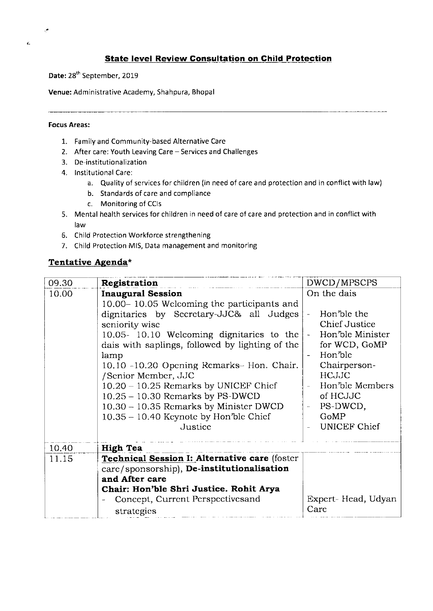#### **State level Review Consultation on Child Protection**

Date: 28<sup>th</sup> September, 2019

Venue: Administrative Academy, Shahpura, Bhopal

#### Focus Areas:

 $\cdot$ 

ċ.

- 1. Family and community-based Alternative care
- 2. After care: Youth Leaving Care Services and Challenges
- 3. De-institutionalization
- 4. Institutional care:
	- a. Quality of services for children (in need of care and protection and in conflict with law)
	- b. Standards of care and compliance
	- c. Monitoring of CCIs
- 5. Mental health services for children in need of care of care and protection and in conflict with law
- 6. Child Protection Workforce strengthening
- 7. Child Protection MIS, Data management and monitoring

#### Tentative Agenda\*

| 09.30 | Registration                                    | DWCD/MPSCPS                          |
|-------|-------------------------------------------------|--------------------------------------|
| 10.00 | <b>Inaugural Session</b>                        | On the dais                          |
|       | 10.00–10.05 Welcoming the participants and      |                                      |
|       | dignitaries by Secretary-JJC& all Judges        | Hon'ble the                          |
|       | seniority wise                                  | Chief Justice                        |
|       | 10.05- 10.10 Welcoming dignitaries to the       | Hon'ble Minister                     |
|       | dais with saplings, followed by lighting of the | for WCD, GoMP                        |
|       | lamp                                            | Hon'ble                              |
|       | 10.10 -10.20 Opening Remarks- Hon. Chair.       | Chairperson-                         |
|       | /Senior Member, JJC                             | <b>HCJJC</b>                         |
|       | $10.20 - 10.25$ Remarks by UNICEF Chief         | Hon'ble Members                      |
|       | $10.25 - 10.30$ Remarks by PS-DWCD              | of HCJJC                             |
|       | $10.30 - 10.35$ Remarks by Minister DWCD        | PS-DWCD,<br>$\overline{\phantom{a}}$ |
|       | $10.35 - 10.40$ Keynote by Hon'ble Chief        | GoMP                                 |
|       | Justice                                         | <b>UNICEF Chief</b>                  |
| 10.40 | <b>High Tea</b>                                 |                                      |
| 11.15 | Technical Session I: Alternative care (foster   |                                      |
|       | carc/sponsorship), De-institutionalisation      |                                      |
|       | and After care                                  |                                      |
|       | Chair: Hon'ble Shri Justice. Rohit Arya         |                                      |
|       | Concept, Current Perspectives and               | Expert-Head, Udyan                   |
|       | strategies                                      | Care                                 |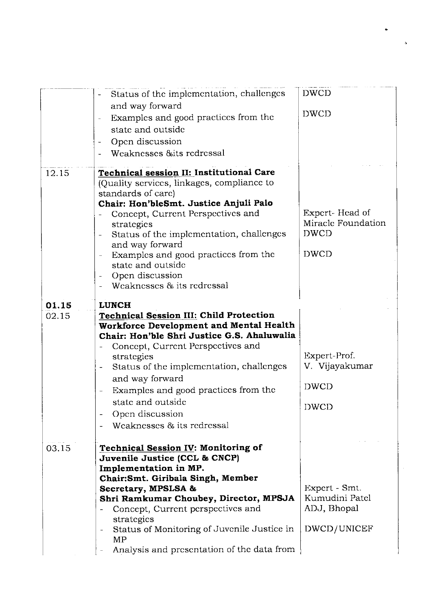|       | Status of the implementation, challenges                                               | <b>DWCD</b>        |
|-------|----------------------------------------------------------------------------------------|--------------------|
|       | and way forward                                                                        | <b>DWCD</b>        |
|       | Examples and good practices from the<br>state and outside                              |                    |
|       | Open discussion<br>$\overline{\phantom{a}}$                                            |                    |
|       | Weaknesses & its redressal                                                             |                    |
|       |                                                                                        |                    |
| 12.15 | Technical session II: Institutional Care                                               |                    |
|       | (Quality services, linkages, compliance to                                             |                    |
|       | standards of carc)<br>Chair: Hon'bleSmt. Justice Anjuli Palo                           |                    |
|       | Concept, Current Perspectives and                                                      | Expert-Head of     |
|       | strategies                                                                             | Miracle Foundation |
|       | Status of the implementation, challenges                                               | <b>DWCD</b>        |
|       | and way forward                                                                        |                    |
|       | Examples and good practices from the<br>$\overline{\phantom{a}}$                       | <b>DWCD</b>        |
|       | state and outside<br>Open discussion<br>-                                              |                    |
|       | Weaknesses & its redressal                                                             |                    |
|       |                                                                                        |                    |
| 01.15 | <b>LUNCH</b>                                                                           |                    |
| 02.15 | <b>Technical Session III: Child Protection</b>                                         |                    |
|       | Workforce Development and Mental Health<br>Chair: Hon'ble Shri Justice G.S. Ahaluwalia |                    |
|       | Concept, Current Perspectives and                                                      |                    |
|       | strategies                                                                             | Expert-Prof.       |
|       | Status of the implementation, challenges                                               | V. Vijayakumar     |
|       | and way forward                                                                        |                    |
|       | Examples and good practices from the                                                   | <b>DWCD</b>        |
|       | state and outside                                                                      | <b>DWCD</b>        |
|       | Open discussion                                                                        |                    |
|       | Weaknesses & its redressal                                                             |                    |
|       |                                                                                        |                    |
| 03.15 | <b>Technical Session IV: Monitoring of</b><br>Juvenile Justice (CCL & CNCP)            |                    |
|       | Implementation in MP.                                                                  |                    |
|       | Chair: Smt. Giribala Singh, Member                                                     |                    |
|       | Secretary, MPSLSA &                                                                    | Expert - Smt.      |
|       | Shri Ramkumar Choubey, Director, MPSJA                                                 | Kumudini Patel     |
|       | Concept, Current perspectives and                                                      | ADJ, Bhopal        |
|       | strategies<br>Status of Monitoring of Juvenile Justice in                              | DWCD/UNICEF        |
|       |                                                                                        |                    |
|       | MP                                                                                     |                    |
|       | Analysis and presentation of the data from                                             |                    |